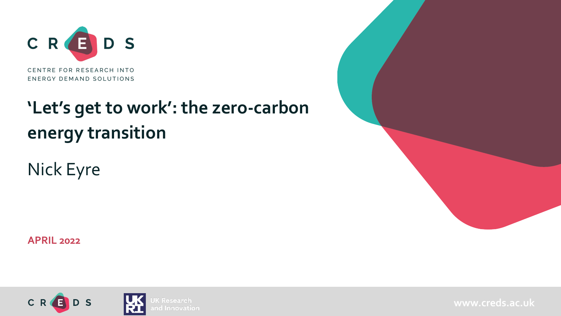

# **'Let's get to work': the zero-carbon energy transition**

Nick Eyre

**APRIL 2022**



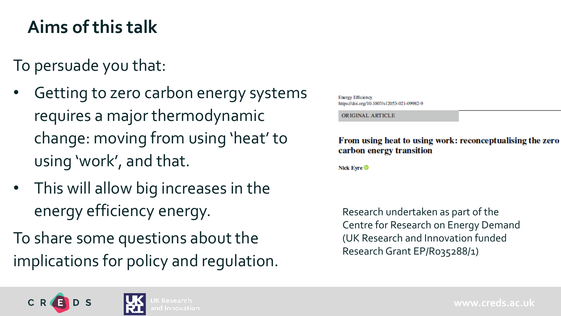## **Aims of this talk**

To persuade you that:

- Getting to zero carbon energy systems requires a major thermodynamic change: moving from using 'heat' to using 'work', and that.
- This will allow big increases in the energy efficiency energy.

To share some questions about the implications for policy and regulation. **Energy Efficiency** https://doi.org/10.1007/s12053-021-09982-9

ORIGINAL ARTICLE

From using heat to using work: reconceptualising the zero carbon energy transition

Nick Eyre <sup>®</sup>

Research undertaken as part of the Centre for Research on Energy Demand (UK Research and Innovation funded Research Grant EP/R035288/1)

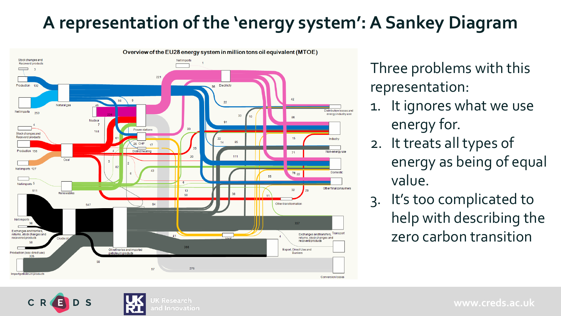## **A representation of the 'energy system': A Sankey Diagram**



ınd Innovation

Three problems with this representation:

- 1. It ignores what we use energy for.
- 2. It treats all types of energy as being of equal value.
- 3. It's too complicated to help with describing the zero carbon transition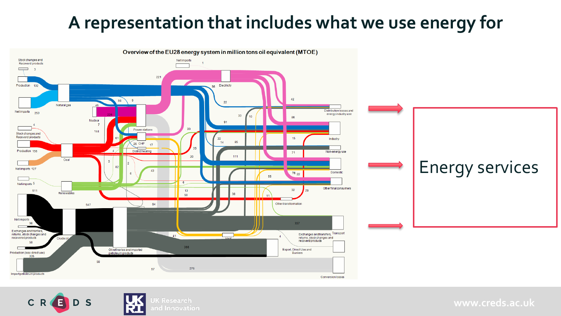#### **A representation that includes what we use energy for**



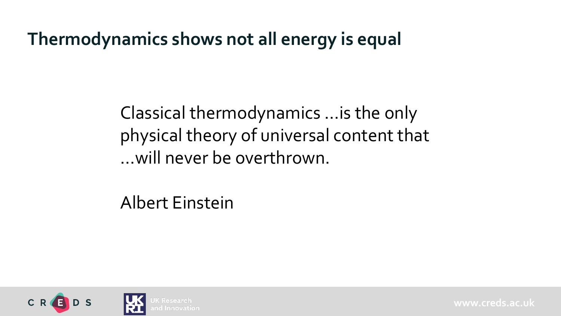#### **Thermodynamics shows not all energy is equal**

Classical thermodynamics …is the only physical theory of universal content that …will never be overthrown.

Albert Einstein

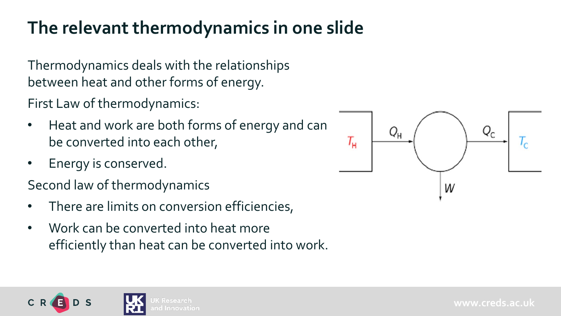### **The relevant thermodynamics in one slide**

Thermodynamics deals with the relationships between heat and other forms of energy.

First Law of thermodynamics:

- Heat and work are both forms of energy and can be converted into each other,
- Energy is conserved.

Second law of thermodynamics

- There are limits on conversion efficiencies,
- Work can be converted into heat more efficiently than heat can be converted into work.



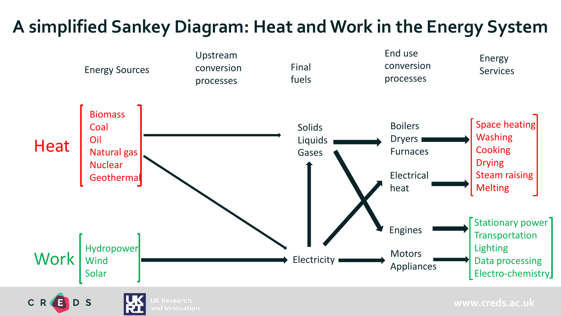## **A simplified Sankey Diagram: Heat and Work in the Energy System**

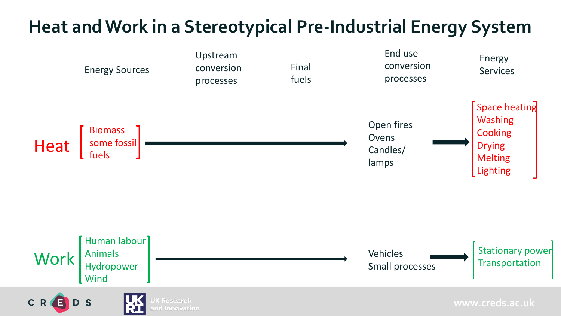#### **Heat and Work in a Stereotypical Pre-Industrial Energy System**

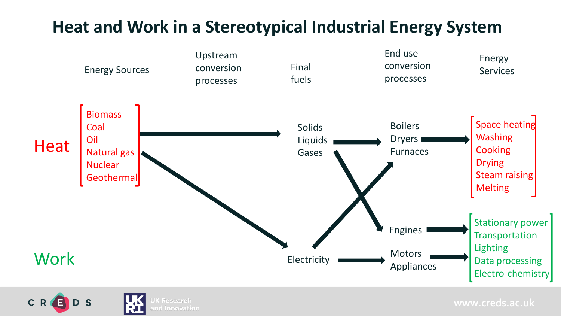#### **Heat and Work in a Stereotypical Industrial Energy System**



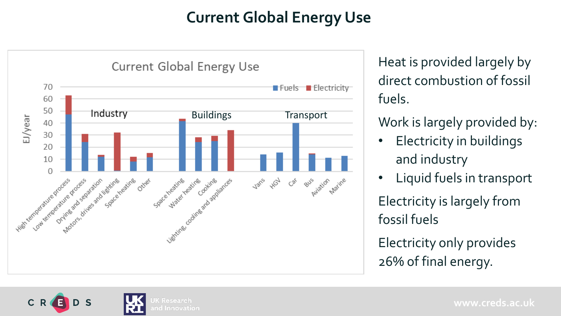#### **Current Global Energy Use**



Heat is provided largely by direct combustion of fossil fuels.

Work is largely provided by:

- Electricity in buildings and industry
- Liquid fuels in transport

Electricity is largely from fossil fuels

Electricity only provides 26% of final energy.

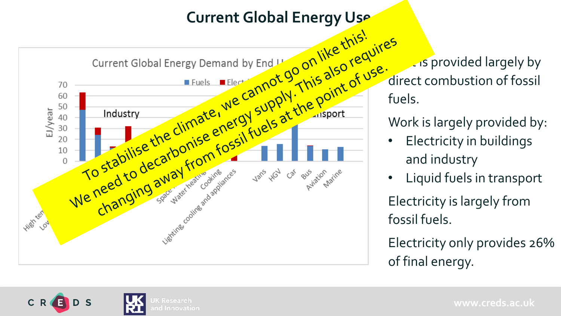

direct combustion of fossil

Work is largely provided by:

- Electricity in buildings and industry
- Liquid fuels in transport

Electricity is largely from fossil fuels.

Electricity only provides 26% of final energy.

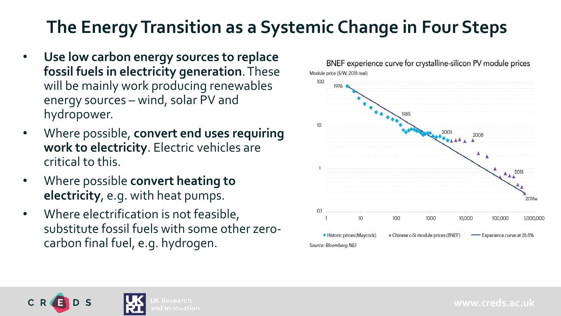## **The Energy Transition as a Systemic Change in Four Steps**

- **Use low carbon energy sources to replace fossil fuels in electricity generation**. These will be mainly work producing renewables energy sources – wind, solar PV and hydropower.
- Where possible, **convert end uses requiring work to electricity**. Electric vehicles are critical to this.
- Where possible **convert heating to electricity**, e.g. with heat pumps.
- Where electrification is not feasible, substitute fossil fuels with some other zerocarbon final fuel, e.g. hydrogen.



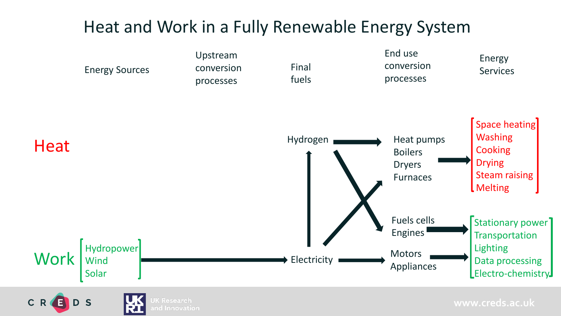#### Heat and Work in a Fully Renewable Energy System

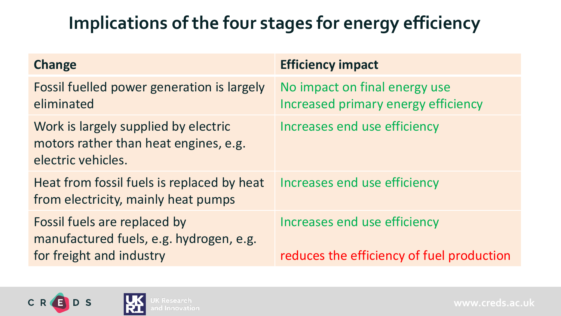# **Implications of the four stages for energy efficiency**

| <b>Change</b>                                                                                       | <b>Efficiency impact</b>                                                  |
|-----------------------------------------------------------------------------------------------------|---------------------------------------------------------------------------|
| Fossil fuelled power generation is largely<br>eliminated                                            | No impact on final energy use<br>Increased primary energy efficiency      |
| Work is largely supplied by electric<br>motors rather than heat engines, e.g.<br>electric vehicles. | Increases end use efficiency                                              |
| Heat from fossil fuels is replaced by heat<br>from electricity, mainly heat pumps                   | Increases end use efficiency                                              |
| Fossil fuels are replaced by<br>manufactured fuels, e.g. hydrogen, e.g.<br>for freight and industry | Increases end use efficiency<br>reduces the efficiency of fuel production |

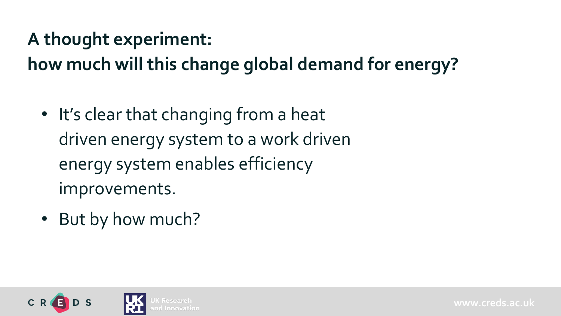#### **A thought experiment:**

**how much will this change global demand for energy?**

- It's clear that changing from a heat driven energy system to a work driven energy system enables efficiency improvements.
- But by how much?

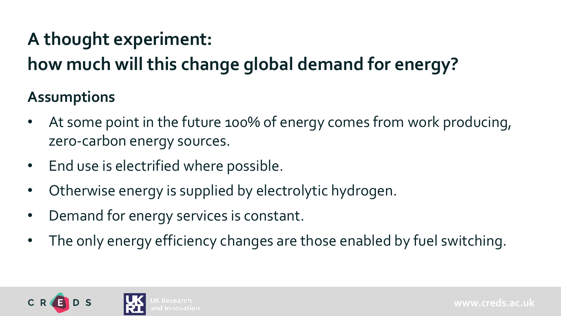# **A thought experiment:**

# **how much will this change global demand for energy?**

#### **Assumptions**

- At some point in the future 100% of energy comes from work producing, zero-carbon energy sources.
- End use is electrified where possible.
- Otherwise energy is supplied by electrolytic hydrogen.
- Demand for energy services is constant.
- The only energy efficiency changes are those enabled by fuel switching.

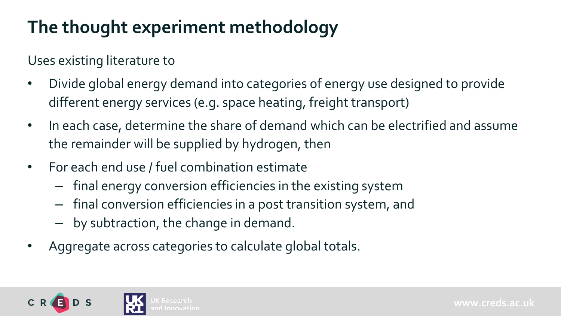# **The thought experiment methodology**

Uses existing literature to

- Divide global energy demand into categories of energy use designed to provide different energy services (e.g. space heating, freight transport)
- In each case, determine the share of demand which can be electrified and assume the remainder will be supplied by hydrogen, then

- For each end use / fuel combination estimate
	- final energy conversion efficiencies in the existing system
	- final conversion efficiencies in a post transition system, and
	- by subtraction, the change in demand.
- Aggregate across categories to calculate global totals.

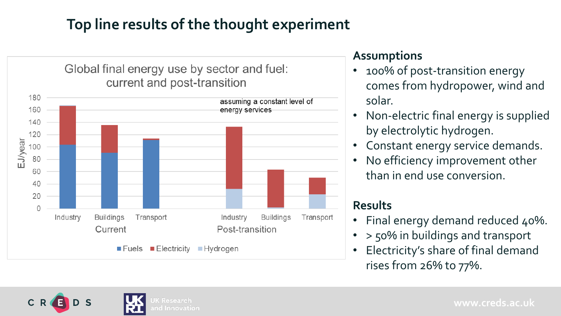#### **Top line results of the thought experiment**



#### **Assumptions**

- 100% of post-transition energy comes from hydropower, wind and solar.
- Non-electric final energy is supplied by electrolytic hydrogen.
- Constant energy service demands.
- No efficiency improvement other than in end use conversion.

#### **Results**

- Final energy demand reduced 40%.
- > 50% in buildings and transport
- Electricity's share of final demand rises from 26% to 77%.

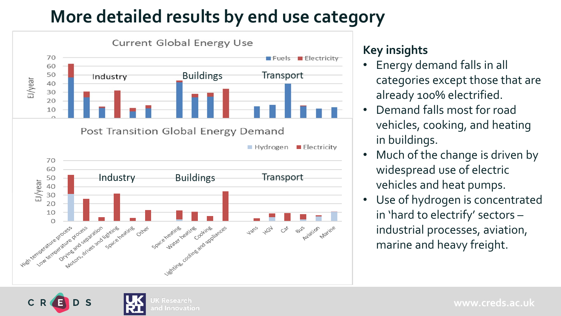#### **More detailed results by end use category**



Innovation

#### **Key insights**

- Energy demand falls in all categories except those that are already 100% electrified.
- Demand falls most for road vehicles, cooking, and heating in buildings.
- Much of the change is driven by widespread use of electric vehicles and heat pumps.
- Use of hydrogen is concentrated in 'hard to electrify' sectors – industrial processes, aviation, marine and heavy freight.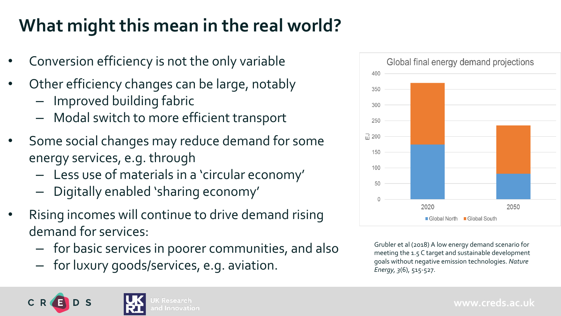# **What might this mean in the real world?**

- Conversion efficiency is not the only variable
- Other efficiency changes can be large, notably
	- Improved building fabric
	- Modal switch to more efficient transport
- Some social changes may reduce demand for some energy services, e.g. through
	- Less use of materials in a 'circular economy'
	- Digitally enabled 'sharing economy'
- Rising incomes will continue to drive demand rising demand for services:
	- for basic services in poorer communities, and also
	- for luxury goods/services, e.g. aviation.



Grubler et al (2018) A low energy demand scenario for meeting the 1.5 C target and sustainable development goals without negative emission technologies. *Nature Energy, 3*(6), 515-527.

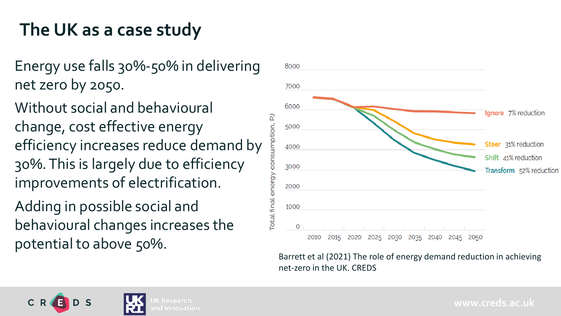# **The UK as a case study**

Energy use falls 30%-50% in delivering net zero by 2050.

Without social and behavioural change, cost effective energy efficiency increases reduce demand by 30%. This is largely due to efficiency improvements of electrification.

Adding in possible social and behavioural changes increases the potential to above 50%.



Barrett et al (2021) The role of energy demand reduction in achieving net-zero in the UK. CREDS

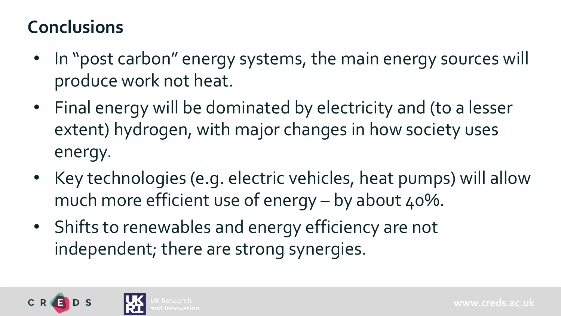#### **Conclusions**

- In "post carbon" energy systems, the main energy sources will produce work not heat.
- Final energy will be dominated by electricity and (to a lesser extent) hydrogen, with major changes in how society uses energy.
- Key technologies (e.g. electric vehicles, heat pumps) will allow much more efficient use of energy  $-$  by about 40%.
- Shifts to renewables and energy efficiency are not independent; there are strong synergies.